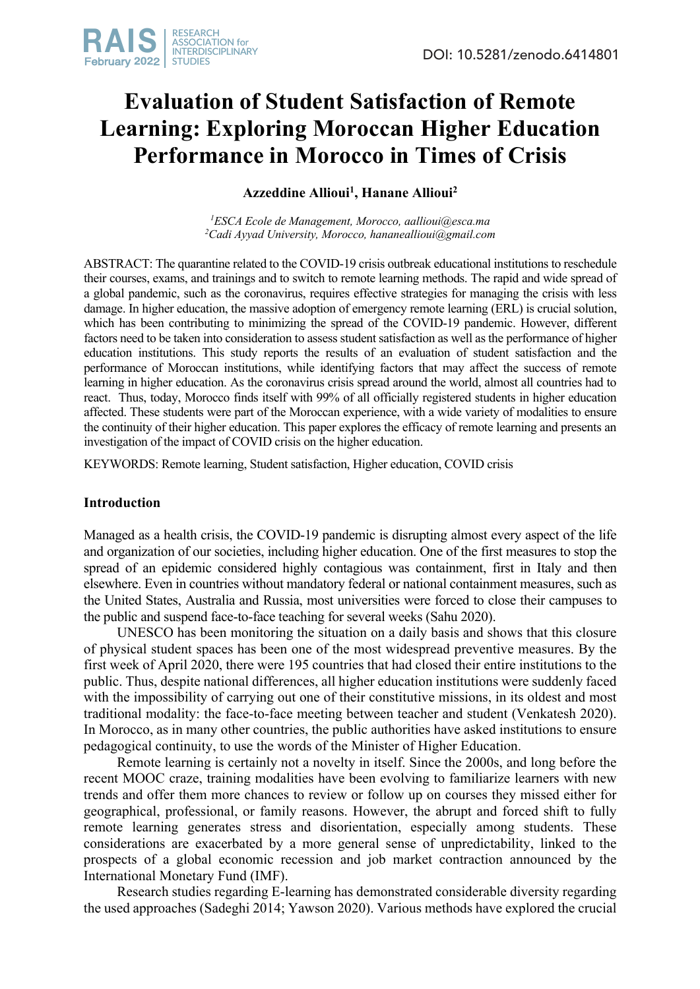# **Evaluation of Student Satisfaction of Remote Learning: Exploring Moroccan Higher Education Performance in Morocco in Times of Crisis**

**Azzeddine Allioui1 , Hanane Allioui2**

*1 ESCA Ecole de Management, Morocco, aallioui@esca.ma 2 Cadi Ayyad University, Morocco, hananeallioui@gmail.com*

ABSTRACT: The quarantine related to the COVID-19 crisis outbreak educational institutions to reschedule their courses, exams, and trainings and to switch to remote learning methods. The rapid and wide spread of a global pandemic, such as the coronavirus, requires effective strategies for managing the crisis with less damage. In higher education, the massive adoption of emergency remote learning (ERL) is crucial solution, which has been contributing to minimizing the spread of the COVID-19 pandemic. However, different factors need to be taken into consideration to assess student satisfaction as well as the performance of higher education institutions. This study reports the results of an evaluation of student satisfaction and the performance of Moroccan institutions, while identifying factors that may affect the success of remote learning in higher education. As the coronavirus crisis spread around the world, almost all countries had to react. Thus, today, Morocco finds itself with 99% of all officially registered students in higher education affected. These students were part of the Moroccan experience, with a wide variety of modalities to ensure the continuity of their higher education. This paper explores the efficacy of remote learning and presents an investigation of the impact of COVID crisis on the higher education.

KEYWORDS: Remote learning, Student satisfaction, Higher education, COVID crisis

## **Introduction**

Managed as a health crisis, the COVID-19 pandemic is disrupting almost every aspect of the life and organization of our societies, including higher education. One of the first measures to stop the spread of an epidemic considered highly contagious was containment, first in Italy and then elsewhere. Even in countries without mandatory federal or national containment measures, such as the United States, Australia and Russia, most universities were forced to close their campuses to the public and suspend face-to-face teaching for several weeks (Sahu 2020).

UNESCO has been monitoring the situation on a daily basis and shows that this closure of physical student spaces has been one of the most widespread preventive measures. By the first week of April 2020, there were 195 countries that had closed their entire institutions to the public. Thus, despite national differences, all higher education institutions were suddenly faced with the impossibility of carrying out one of their constitutive missions, in its oldest and most traditional modality: the face-to-face meeting between teacher and student (Venkatesh 2020). In Morocco, as in many other countries, the public authorities have asked institutions to ensure pedagogical continuity, to use the words of the Minister of Higher Education.

Remote learning is certainly not a novelty in itself. Since the 2000s, and long before the recent MOOC craze, training modalities have been evolving to familiarize learners with new trends and offer them more chances to review or follow up on courses they missed either for geographical, professional, or family reasons. However, the abrupt and forced shift to fully remote learning generates stress and disorientation, especially among students. These considerations are exacerbated by a more general sense of unpredictability, linked to the prospects of a global economic recession and job market contraction announced by the International Monetary Fund (IMF).

Research studies regarding E-learning has demonstrated considerable diversity regarding the used approaches (Sadeghi 2014; Yawson 2020). Various methods have explored the crucial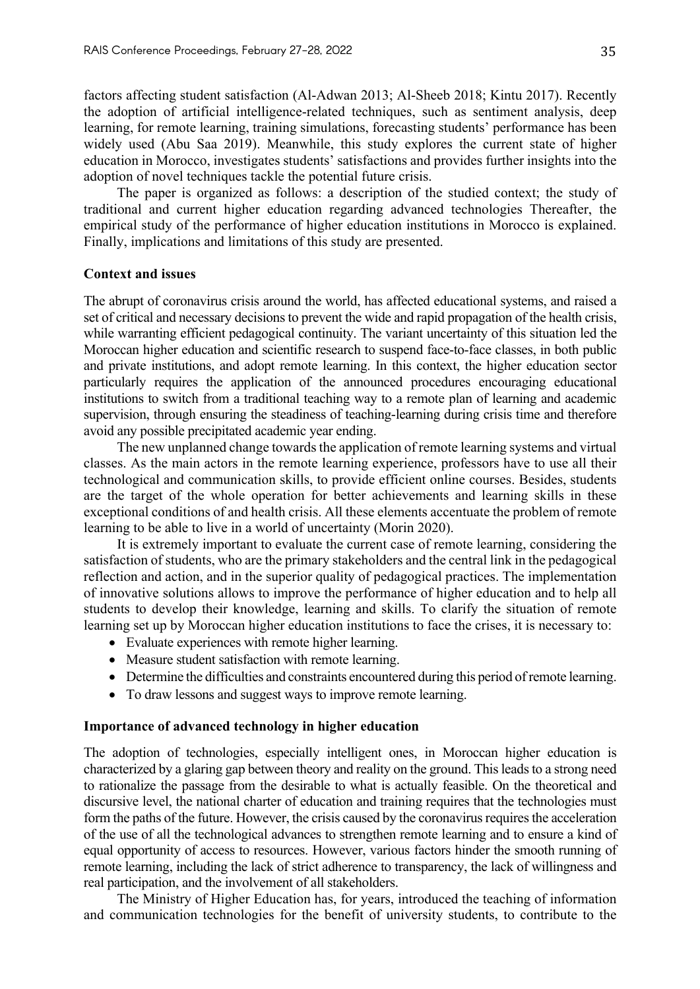factors affecting student satisfaction (Al-Adwan 2013; Al-Sheeb 2018; Kintu 2017). Recently the adoption of artificial intelligence-related techniques, such as sentiment analysis, deep learning, for remote learning, training simulations, forecasting students' performance has been widely used (Abu Saa 2019). Meanwhile, this study explores the current state of higher education in Morocco, investigates students' satisfactions and provides further insights into the adoption of novel techniques tackle the potential future crisis.

The paper is organized as follows: a description of the studied context; the study of traditional and current higher education regarding advanced technologies Thereafter, the empirical study of the performance of higher education institutions in Morocco is explained. Finally, implications and limitations of this study are presented.

#### **Context and issues**

The abrupt of coronavirus crisis around the world, has affected educational systems, and raised a set of critical and necessary decisions to prevent the wide and rapid propagation of the health crisis, while warranting efficient pedagogical continuity. The variant uncertainty of this situation led the Moroccan higher education and scientific research to suspend face-to-face classes, in both public and private institutions, and adopt remote learning. In this context, the higher education sector particularly requires the application of the announced procedures encouraging educational institutions to switch from a traditional teaching way to a remote plan of learning and academic supervision, through ensuring the steadiness of teaching-learning during crisis time and therefore avoid any possible precipitated academic year ending.

The new unplanned change towards the application of remote learning systems and virtual classes. As the main actors in the remote learning experience, professors have to use all their technological and communication skills, to provide efficient online courses. Besides, students are the target of the whole operation for better achievements and learning skills in these exceptional conditions of and health crisis. All these elements accentuate the problem of remote learning to be able to live in a world of uncertainty (Morin 2020).

It is extremely important to evaluate the current case of remote learning, considering the satisfaction of students, who are the primary stakeholders and the central link in the pedagogical reflection and action, and in the superior quality of pedagogical practices. The implementation of innovative solutions allows to improve the performance of higher education and to help all students to develop their knowledge, learning and skills. To clarify the situation of remote learning set up by Moroccan higher education institutions to face the crises, it is necessary to:

- Evaluate experiences with remote higher learning.
- Measure student satisfaction with remote learning.
- Determine the difficulties and constraints encountered during this period of remote learning.
- To draw lessons and suggest ways to improve remote learning.

## **Importance of advanced technology in higher education**

The adoption of technologies, especially intelligent ones, in Moroccan higher education is characterized by a glaring gap between theory and reality on the ground. This leads to a strong need to rationalize the passage from the desirable to what is actually feasible. On the theoretical and discursive level, the national charter of education and training requires that the technologies must form the paths of the future. However, the crisis caused by the coronavirus requires the acceleration of the use of all the technological advances to strengthen remote learning and to ensure a kind of equal opportunity of access to resources. However, various factors hinder the smooth running of remote learning, including the lack of strict adherence to transparency, the lack of willingness and real participation, and the involvement of all stakeholders.

The Ministry of Higher Education has, for years, introduced the teaching of information and communication technologies for the benefit of university students, to contribute to the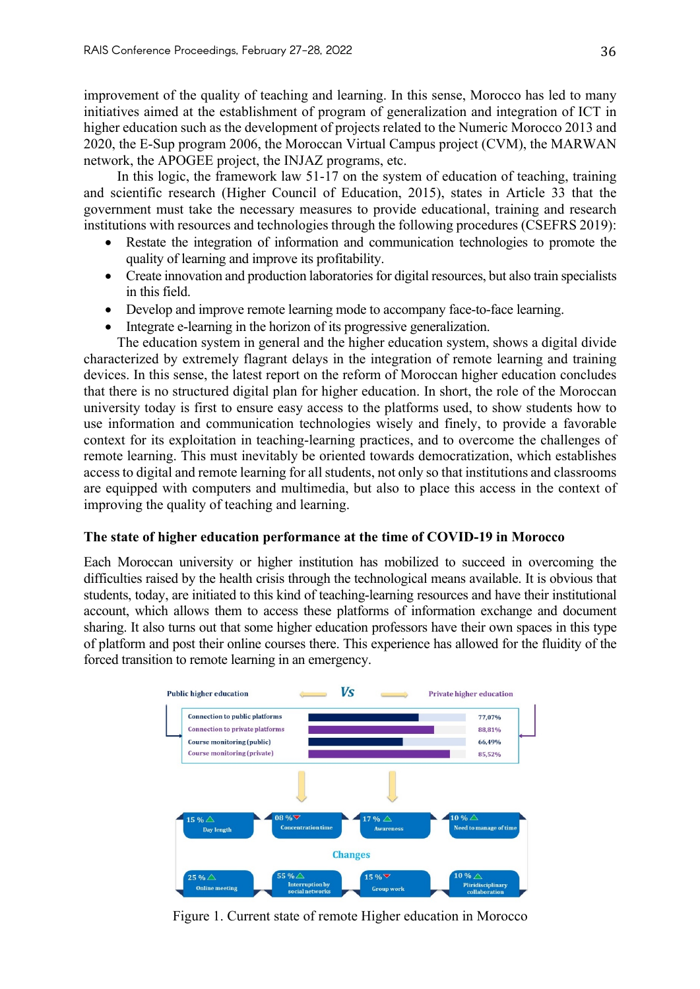improvement of the quality of teaching and learning. In this sense, Morocco has led to many initiatives aimed at the establishment of program of generalization and integration of ICT in higher education such as the development of projects related to the Numeric Morocco 2013 and 2020, the E-Sup program 2006, the Moroccan Virtual Campus project (CVM), the MARWAN network, the APOGEE project, the INJAZ programs, etc.

In this logic, the framework law 51-17 on the system of education of teaching, training and scientific research (Higher Council of Education, 2015), states in Article 33 that the government must take the necessary measures to provide educational, training and research institutions with resources and technologies through the following procedures (CSEFRS 2019):

- Restate the integration of information and communication technologies to promote the quality of learning and improve its profitability.
- Create innovation and production laboratories for digital resources, but also train specialists in this field.
- Develop and improve remote learning mode to accompany face-to-face learning.
- Integrate e-learning in the horizon of its progressive generalization.

The education system in general and the higher education system, shows a digital divide characterized by extremely flagrant delays in the integration of remote learning and training devices. In this sense, the latest report on the reform of Moroccan higher education concludes that there is no structured digital plan for higher education. In short, the role of the Moroccan university today is first to ensure easy access to the platforms used, to show students how to use information and communication technologies wisely and finely, to provide a favorable context for its exploitation in teaching-learning practices, and to overcome the challenges of remote learning. This must inevitably be oriented towards democratization, which establishes access to digital and remote learning for all students, not only so that institutions and classrooms are equipped with computers and multimedia, but also to place this access in the context of improving the quality of teaching and learning.

## **The state of higher education performance at the time of COVID-19 in Morocco**

Each Moroccan university or higher institution has mobilized to succeed in overcoming the difficulties raised by the health crisis through the technological means available. It is obvious that students, today, are initiated to this kind of teaching-learning resources and have their institutional account, which allows them to access these platforms of information exchange and document sharing. It also turns out that some higher education professors have their own spaces in this type of platform and post their online courses there. This experience has allowed for the fluidity of the forced transition to remote learning in an emergency.



Figure 1. Current state of remote Higher education in Morocco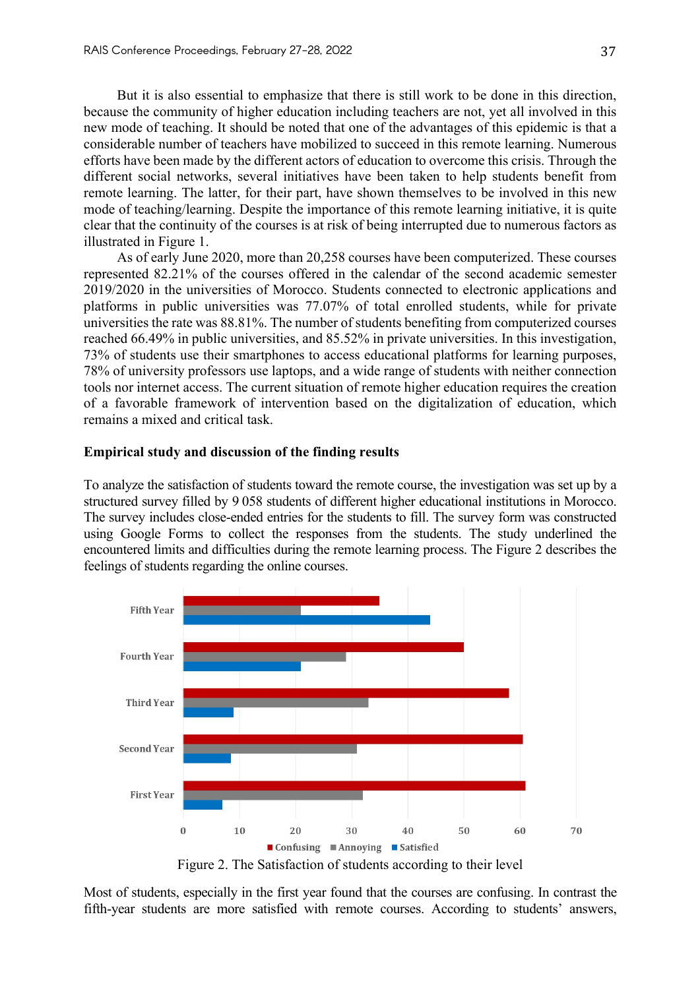But it is also essential to emphasize that there is still work to be done in this direction, because the community of higher education including teachers are not, yet all involved in this new mode of teaching. It should be noted that one of the advantages of this epidemic is that a considerable number of teachers have mobilized to succeed in this remote learning. Numerous efforts have been made by the different actors of education to overcome this crisis. Through the different social networks, several initiatives have been taken to help students benefit from remote learning. The latter, for their part, have shown themselves to be involved in this new mode of teaching/learning. Despite the importance of this remote learning initiative, it is quite clear that the continuity of the courses is at risk of being interrupted due to numerous factors as illustrated in Figure 1.

As of early June 2020, more than 20,258 courses have been computerized. These courses represented 82.21% of the courses offered in the calendar of the second academic semester 2019/2020 in the universities of Morocco. Students connected to electronic applications and platforms in public universities was 77.07% of total enrolled students, while for private universities the rate was 88.81%. The number of students benefiting from computerized courses reached 66.49% in public universities, and 85.52% in private universities. In this investigation, 73% of students use their smartphones to access educational platforms for learning purposes, 78% of university professors use laptops, and a wide range of students with neither connection tools nor internet access. The current situation of remote higher education requires the creation of a favorable framework of intervention based on the digitalization of education, which remains a mixed and critical task.

#### **Empirical study and discussion of the finding results**

To analyze the satisfaction of students toward the remote course, the investigation was set up by a structured survey filled by 9 058 students of different higher educational institutions in Morocco. The survey includes close-ended entries for the students to fill. The survey form was constructed using Google Forms to collect the responses from the students. The study underlined the encountered limits and difficulties during the remote learning process. The Figure 2 describes the feelings of students regarding the online courses.



Figure 2. The Satisfaction of students according to their level

Most of students, especially in the first year found that the courses are confusing. In contrast the fifth-year students are more satisfied with remote courses. According to students' answers,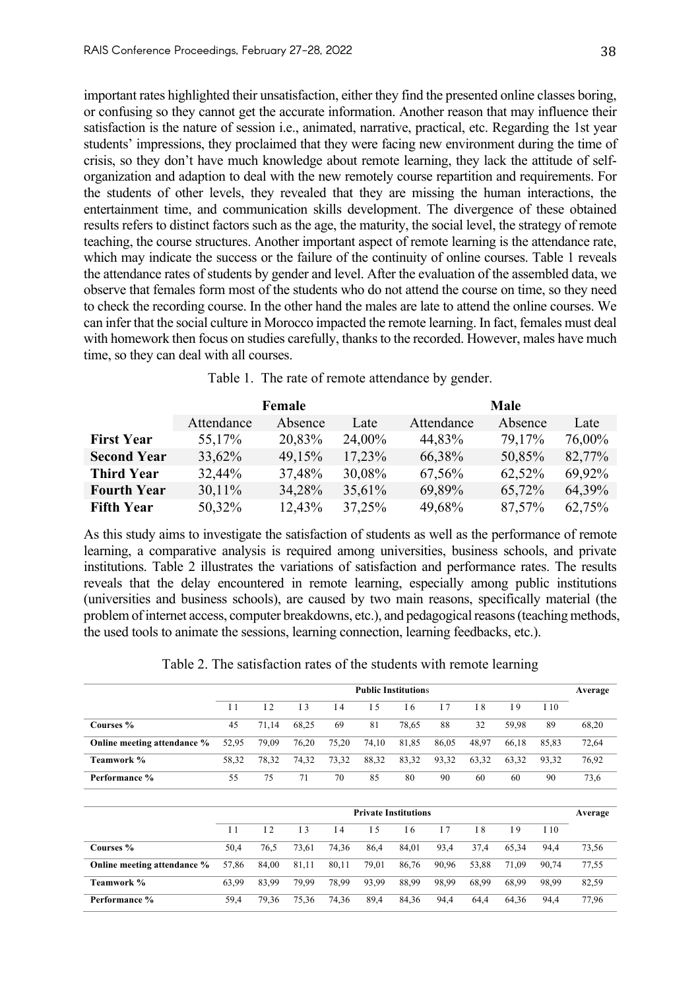important rates highlighted their unsatisfaction, either they find the presented online classes boring, or confusing so they cannot get the accurate information. Another reason that may influence their satisfaction is the nature of session i.e., animated, narrative, practical, etc. Regarding the 1st year students' impressions, they proclaimed that they were facing new environment during the time of crisis, so they don't have much knowledge about remote learning, they lack the attitude of selforganization and adaption to deal with the new remotely course repartition and requirements. For the students of other levels, they revealed that they are missing the human interactions, the entertainment time, and communication skills development. The divergence of these obtained results refers to distinct factors such as the age, the maturity, the social level, the strategy of remote teaching, the course structures. Another important aspect of remote learning is the attendance rate, which may indicate the success or the failure of the continuity of online courses. Table 1 reveals the attendance rates of students by gender and level. After the evaluation of the assembled data, we observe that females form most of the students who do not attend the course on time, so they need to check the recording course. In the other hand the males are late to attend the online courses. We can infer that the social culture in Morocco impacted the remote learning. In fact, females must deal with homework then focus on studies carefully, thanks to the recorded. However, males have much time, so they can deal with all courses.

|                    |            | Female  |        | <b>Male</b> |         |        |  |
|--------------------|------------|---------|--------|-------------|---------|--------|--|
|                    | Attendance | Absence | Late   | Attendance  | Absence | Late   |  |
| <b>First Year</b>  | 55,17%     | 20,83%  | 24,00% | 44,83%      | 79,17%  | 76,00% |  |
| <b>Second Year</b> | 33,62%     | 49,15%  | 17,23% | 66,38%      | 50,85%  | 82,77% |  |
| <b>Third Year</b>  | 32,44%     | 37,48%  | 30,08% | 67,56%      | 62,52%  | 69,92% |  |
| <b>Fourth Year</b> | 30,11%     | 34,28%  | 35,61% | 69,89%      | 65,72%  | 64,39% |  |
| <b>Fifth Year</b>  | 50,32%     | 12,43%  | 37,25% | 49,68%      | 87,57%  | 62,75% |  |

Table 1. The rate of remote attendance by gender.

As this study aims to investigate the satisfaction of students as well as the performance of remote learning, a comparative analysis is required among universities, business schools, and private institutions. Table 2 illustrates the variations of satisfaction and performance rates. The results reveals that the delay encountered in remote learning, especially among public institutions (universities and business schools), are caused by two main reasons, specifically material (the problem of internet access, computer breakdowns, etc.), and pedagogical reasons (teaching methods, the used tools to animate the sessions, learning connection, learning feedbacks, etc.).

|  |  | Table 2. The satisfaction rates of the students with remote learning |  |  |  |  |  |  |
|--|--|----------------------------------------------------------------------|--|--|--|--|--|--|
|--|--|----------------------------------------------------------------------|--|--|--|--|--|--|

|                             | <b>Public Institutions</b> |       |                |       |                             | Average |                |       |       |       |         |
|-----------------------------|----------------------------|-------|----------------|-------|-----------------------------|---------|----------------|-------|-------|-------|---------|
|                             | I <sub>1</sub>             | 12    | I <sub>3</sub> | I4    | I <sub>5</sub>              | I6      | I <sub>7</sub> | I8    | I 9   | I 10  |         |
| Courses %                   | 45                         | 71,14 | 68,25          | 69    | 81                          | 78,65   | 88             | 32    | 59,98 | 89    | 68,20   |
| Online meeting attendance % | 52,95                      | 79,09 | 76,20          | 75,20 | 74,10                       | 81,85   | 86,05          | 48,97 | 66,18 | 85,83 | 72,64   |
| Teamwork %                  | 58,32                      | 78,32 | 74,32          | 73,32 | 88,32                       | 83,32   | 93,32          | 63,32 | 63,32 | 93,32 | 76,92   |
| Performance %               | 55                         | 75    | 71             | 70    | 85                          | 80      | 90             | 60    | 60    | 90    | 73,6    |
|                             |                            |       |                |       |                             |         |                |       |       |       |         |
|                             |                            |       |                |       | <b>Private Institutions</b> |         |                |       |       |       | Average |
|                             | I <sub>1</sub>             | 12    | I 3            | I4    | I 5                         | I6      | I <sub>7</sub> | I 8   | I 9   | I 10  |         |
| Courses %                   | 50,4                       | 76,5  | 73,61          | 74,36 | 86,4                        | 84,01   | 93,4           | 37,4  | 65,34 | 94,4  | 73,56   |
| Online meeting attendance % | 57,86                      | 84,00 | 81,11          | 80,11 | 79,01                       | 86,76   | 90,96          | 53,88 | 71,09 | 90,74 | 77,55   |
| Teamwork %                  | 63,99                      | 83,99 | 79,99          | 78,99 | 93,99                       | 88,99   | 98,99          | 68,99 | 68,99 | 98,99 | 82,59   |
| Performance %               | 59,4                       | 79,36 | 75,36          | 74,36 | 89,4                        | 84,36   | 94,4           | 64,4  | 64,36 | 94,4  | 77,96   |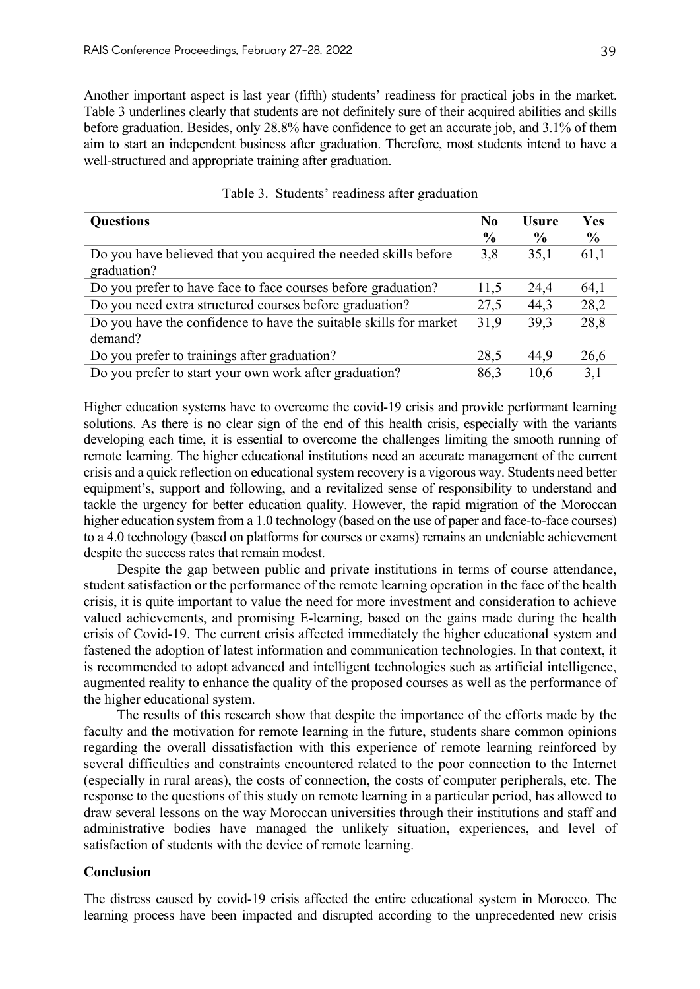Another important aspect is last year (fifth) students' readiness for practical jobs in the market. Table 3 underlines clearly that students are not definitely sure of their acquired abilities and skills before graduation. Besides, only 28.8% have confidence to get an accurate job, and 3.1% of them aim to start an independent business after graduation. Therefore, most students intend to have a well-structured and appropriate training after graduation.

| <b>Questions</b>                                                               | No<br>$\frac{6}{9}$ | <b>Usure</b><br>$\frac{6}{9}$ | Yes<br>$\frac{6}{9}$ |
|--------------------------------------------------------------------------------|---------------------|-------------------------------|----------------------|
| Do you have believed that you acquired the needed skills before<br>graduation? | 3,8                 | 35,1                          | 61,1                 |
| Do you prefer to have face to face courses before graduation?                  | 11,5                | 24,4                          | 64,1                 |
| Do you need extra structured courses before graduation?                        | 27,5                | 44,3                          | 28,2                 |
| Do you have the confidence to have the suitable skills for market<br>demand?   | 31,9                | 39,3                          | 28,8                 |
| Do you prefer to trainings after graduation?                                   | 28,5                | 44,9                          | 26,6                 |
| Do you prefer to start your own work after graduation?                         | 86,3                | 10,6                          | 3,1                  |

|  |  |  |  | Table 3. Students' readiness after graduation |
|--|--|--|--|-----------------------------------------------|
|--|--|--|--|-----------------------------------------------|

Higher education systems have to overcome the covid-19 crisis and provide performant learning solutions. As there is no clear sign of the end of this health crisis, especially with the variants developing each time, it is essential to overcome the challenges limiting the smooth running of remote learning. The higher educational institutions need an accurate management of the current crisis and a quick reflection on educational system recovery is a vigorous way. Students need better equipment's, support and following, and a revitalized sense of responsibility to understand and tackle the urgency for better education quality. However, the rapid migration of the Moroccan higher education system from a 1.0 technology (based on the use of paper and face-to-face courses) to a 4.0 technology (based on platforms for courses or exams) remains an undeniable achievement despite the success rates that remain modest.

Despite the gap between public and private institutions in terms of course attendance, student satisfaction or the performance of the remote learning operation in the face of the health crisis, it is quite important to value the need for more investment and consideration to achieve valued achievements, and promising E-learning, based on the gains made during the health crisis of Covid-19. The current crisis affected immediately the higher educational system and fastened the adoption of latest information and communication technologies. In that context, it is recommended to adopt advanced and intelligent technologies such as artificial intelligence, augmented reality to enhance the quality of the proposed courses as well as the performance of the higher educational system.

The results of this research show that despite the importance of the efforts made by the faculty and the motivation for remote learning in the future, students share common opinions regarding the overall dissatisfaction with this experience of remote learning reinforced by several difficulties and constraints encountered related to the poor connection to the Internet (especially in rural areas), the costs of connection, the costs of computer peripherals, etc. The response to the questions of this study on remote learning in a particular period, has allowed to draw several lessons on the way Moroccan universities through their institutions and staff and administrative bodies have managed the unlikely situation, experiences, and level of satisfaction of students with the device of remote learning.

## **Conclusion**

The distress caused by covid-19 crisis affected the entire educational system in Morocco. The learning process have been impacted and disrupted according to the unprecedented new crisis